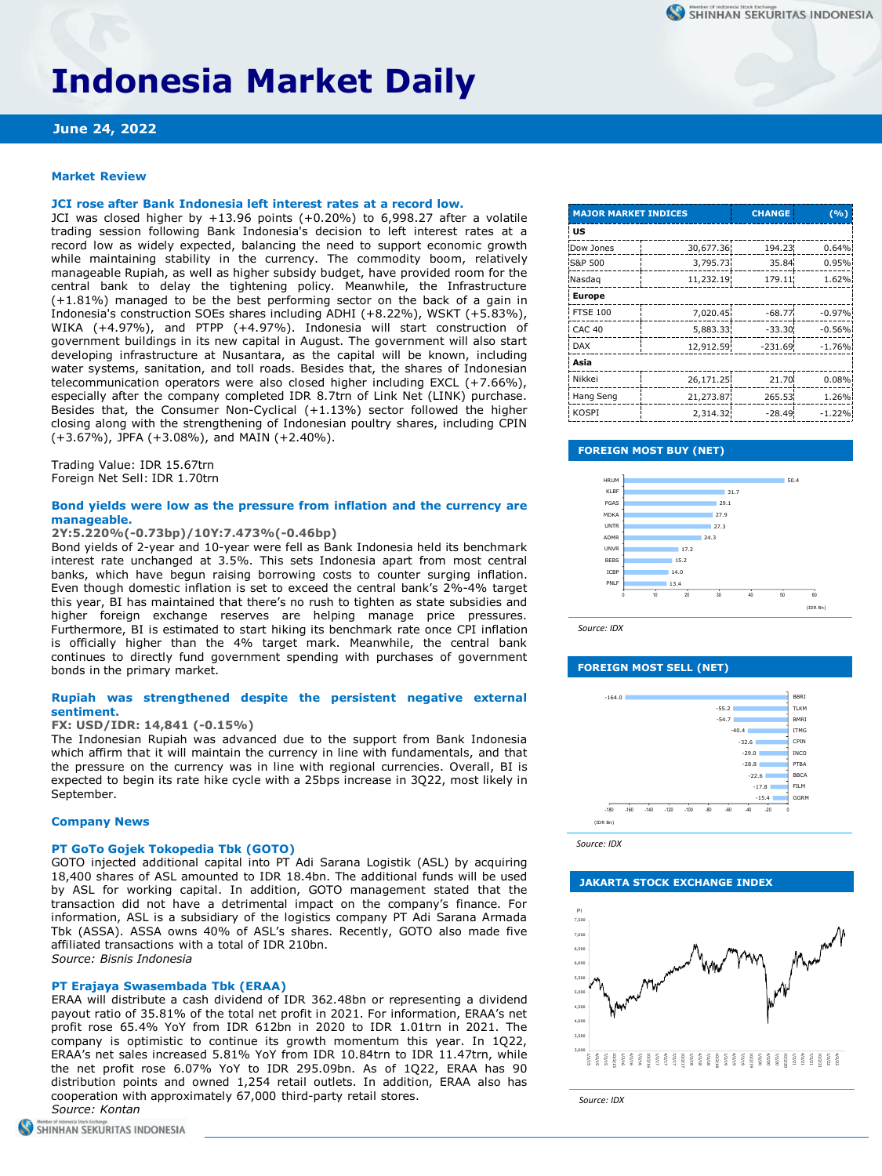# **Indonesia Market Daily**

# **June 24, 2022**

#### **Market Review**

# **JCI rose after Bank Indonesia left interest rates at a record low.**

JCI was closed higher by +13.96 points (+0.20%) to 6,998.27 after a volatile trading session following Bank Indonesia's decision to left interest rates at a record low as widely expected, balancing the need to support economic growth while maintaining stability in the currency. The commodity boom, relatively manageable Rupiah, as well as higher subsidy budget, have provided room for the central bank to delay the tightening policy. Meanwhile, the Infrastructure (+1.81%) managed to be the best performing sector on the back of a gain in Indonesia's construction SOEs shares including ADHI (+8.22%), WSKT (+5.83%), WIKA (+4.97%), and PTPP (+4.97%). Indonesia will start construction of government buildings in its new capital in August. The government will also start developing infrastructure at Nusantara, as the capital will be known, including water systems, sanitation, and toll roads. Besides that, the shares of Indonesian telecommunication operators were also closed higher including EXCL (+7.66%), especially after the company completed IDR 8.7trn of Link Net (LINK) purchase. Besides that, the Consumer Non-Cyclical (+1.13%) sector followed the higher closing along with the strengthening of Indonesian poultry shares, including CPIN (+3.67%), JPFA (+3.08%), and MAIN (+2.40%).

Trading Value: IDR 15.67trn Foreign Net Sell: IDR 1.70trn

#### **Bond yields were low as the pressure from inflation and the currency are manageable.**

#### **2Y:5.220%(-0.73bp)/10Y:7.473%(-0.46bp)**

Bond yields of 2-year and 10-year were fell as Bank Indonesia held its benchmark interest rate unchanged at 3.5%. This sets Indonesia apart from most central banks, which have begun raising borrowing costs to counter surging inflation. Even though domestic inflation is set to exceed the central bank's 2%-4% target this year, BI has maintained that there's no rush to tighten as state subsidies and higher foreign exchange reserves are helping manage price pressures. Furthermore, BI is estimated to start hiking its benchmark rate once CPI inflation is officially higher than the 4% target mark. Meanwhile, the central bank continues to directly fund government spending with purchases of government bonds in the primary market.

## **Rupiah was strengthened despite the persistent negative external sentiment.**

#### **FX: USD/IDR: 14,841 (-0.15%)**

The Indonesian Rupiah was advanced due to the support from Bank Indonesia which affirm that it will maintain the currency in line with fundamentals, and that the pressure on the currency was in line with regional currencies. Overall, BI is expected to begin its rate hike cycle with a 25bps increase in 3Q22, most likely in September.

#### **Company News**

#### **PT GoTo Gojek Tokopedia Tbk (GOTO)**

GOTO injected additional capital into PT Adi Sarana Logistik (ASL) by acquiring 18,400 shares of ASL amounted to IDR 18.4bn. The additional funds will be used by ASL for working capital. In addition, GOTO management stated that the transaction did not have a detrimental impact on the company's finance. For information, ASL is a subsidiary of the logistics company PT Adi Sarana Armada Tbk (ASSA). ASSA owns 40% of ASL's shares. Recently, GOTO also made five affiliated transactions with a total of IDR 210bn. *Source: Bisnis Indonesia*

#### **PT Erajaya Swasembada Tbk (ERAA)**

ERAA will distribute a cash dividend of IDR 362.48bn or representing a dividend payout ratio of 35.81% of the total net profit in 2021. For information, ERAA's net profit rose 65.4% YoY from IDR 612bn in 2020 to IDR 1.01trn in 2021. The company is optimistic to continue its growth momentum this year. In 1Q22, ERAA's net sales increased 5.81% YoY from IDR 10.84trn to IDR 11.47trn, while the net profit rose 6.07% YoY to IDR 295.09bn. As of 1Q22, ERAA has 90 distribution points and owned 1,254 retail outlets. In addition, ERAA also has cooperation with approximately 67,000 third-party retail stores. *Source: Kontan*

| Member of Indonesia Stock Exchange |                             |
|------------------------------------|-----------------------------|
|                                    | SHINHAN SEKURITAS INDONESIA |

| <b>MAJOR MARKET INDICES</b> |           | <b>CHANGE</b> | $(\frac{0}{0})$ |  |  |  |  |
|-----------------------------|-----------|---------------|-----------------|--|--|--|--|
| US                          |           |               |                 |  |  |  |  |
| Dow Jones                   | 30,677.36 | 194.23        | 0.64%           |  |  |  |  |
| S&P 500                     | 3,795.73  | 35.84         | 0.95%           |  |  |  |  |
| Nasdag                      | 11,232.19 | 179.11        | 1.62%           |  |  |  |  |
| <b>Europe</b>               |           |               |                 |  |  |  |  |
| <b>FTSE 100</b>             | 7,020.45  | $-68.77$      | $-0.97%$        |  |  |  |  |
| CAC <sub>40</sub>           | 5,883.33  | $-33.30$      | $-0.56%$        |  |  |  |  |
| <b>DAX</b>                  | 12,912.59 | $-231.69$     | $-1.76%$        |  |  |  |  |
| Asia                        |           |               |                 |  |  |  |  |
| Nikkei                      | 26,171.25 | 21.70         | 0.08%           |  |  |  |  |
| Hang Seng                   | 21,273.87 | 265.53        | 1.26%           |  |  |  |  |
| KOSPI                       | 2,314.32  | $-28.49$      | $-1.22%$        |  |  |  |  |

#### **FOREIGN MOST BUY (NET)**



*Source: IDX*

#### **FOREIGN MOST SELL (NET)**



*Source: IDX*

#### **JAKARTA STOCK EXCHANGE INDEX**



*Source: IDX*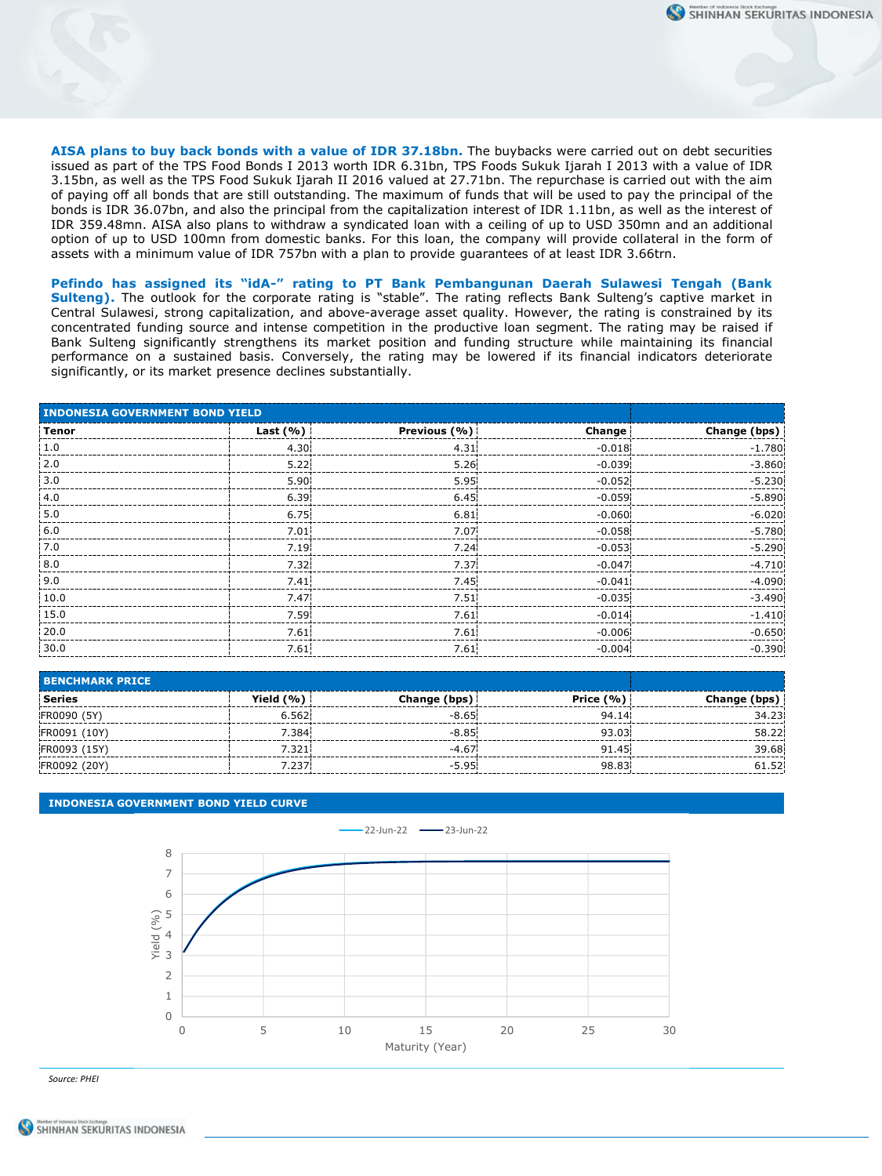**AISA plans to buy back bonds with a value of IDR 37.18bn.** The buybacks were carried out on debt securities issued as part of the TPS Food Bonds I 2013 worth IDR 6.31bn, TPS Foods Sukuk Ijarah I 2013 with a value of IDR 3.15bn, as well as the TPS Food Sukuk Ijarah II 2016 valued at 27.71bn. The repurchase is carried out with the aim of paying off all bonds that are still outstanding. The maximum of funds that will be used to pay the principal of the bonds is IDR 36.07bn, and also the principal from the capitalization interest of IDR 1.11bn, as well as the interest of IDR 359.48mn. AISA also plans to withdraw a syndicated loan with a ceiling of up to USD 350mn and an additional option of up to USD 100mn from domestic banks. For this loan, the company will provide collateral in the form of assets with a minimum value of IDR 757bn with a plan to provide guarantees of at least IDR 3.66trn.

**Pefindo has assigned its "idA-" rating to PT Bank Pembangunan Daerah Sulawesi Tengah (Bank Sulteng).** The outlook for the corporate rating is "stable". The rating reflects Bank Sulteng's captive market in Central Sulawesi, strong capitalization, and above-average asset quality. However, the rating is constrained by its concentrated funding source and intense competition in the productive loan segment. The rating may be raised if Bank Sulteng significantly strengthens its market position and funding structure while maintaining its financial performance on a sustained basis. Conversely, the rating may be lowered if its financial indicators deteriorate significantly, or its market presence declines substantially.

| <b>INDONESIA GOVERNMENT BOND YIELD</b> |                   |                   |          |              |
|----------------------------------------|-------------------|-------------------|----------|--------------|
| Tenor                                  | Last $(\% )$      | Previous (%)      | Change   | Change (bps) |
| 1.0                                    | 4.30 <sub>1</sub> | 4.31              | $-0.018$ | $-1.780$     |
| 2.0                                    | 5.22              | 5.26              | $-0.039$ | $-3.860$     |
| 3.0                                    | 5.90 <sup>1</sup> | $5.95^{\dagger}$  | $-0.052$ | $-5.230$     |
| 4.0                                    | 6.39              | 6.45              | $-0.059$ | $-5.890$     |
| $\frac{1}{2}$ 5.0                      | 6.75              | 6.81              | $-0.060$ | $-6.020$     |
| 6.0                                    | 7.01              | 7.07              | $-0.058$ | $-5.780$     |
| 7.0                                    | 7.19 <sup>1</sup> | 7.24 <sup>1</sup> | $-0.053$ | $-5.290$     |
| 8.0                                    | 7.32 <sub>1</sub> | 7.37              | $-0.047$ | $-4.710$     |
| 9.0                                    | 7.41              | 7.45              | $-0.041$ | $-4.090$     |
| 10.0                                   | 7.47              | 7.51              | $-0.035$ | $-3.490$     |
| 15.0                                   | 7.59 <sup>1</sup> | 7.61              | $-0.014$ | $-1.410$     |
| 20.0                                   | 7.61              | 7.61              | $-0.006$ | $-0.650$     |
| 30.0                                   | 7.61              | 7.61              | $-0.004$ | $-0.390$     |

| <b>BENCHMARK PRICE</b> |           |                   |               |              |
|------------------------|-----------|-------------------|---------------|--------------|
| Series                 | Yield (%) | Change (bps)      | Price $(\% )$ | Change (bps) |
| FR0090 (5Y)            | 6.562     | $-8.65$           | 94.14         | 34.23        |
| FR0091 (10Y)           | 7.384     | $-8.85^{\dagger}$ | 93.03         | 58.22        |
| FR0093 (15Y)           | 7.321     | $-4.67$           | 91.45         | 39.68        |
| FR0092 (20Y)           | 7.237     | $-5.95$           | 98.83         | 61.52        |

## **INDONESIA GOVERNMENT BOND YIELD CURVE**



*Source: PHEI*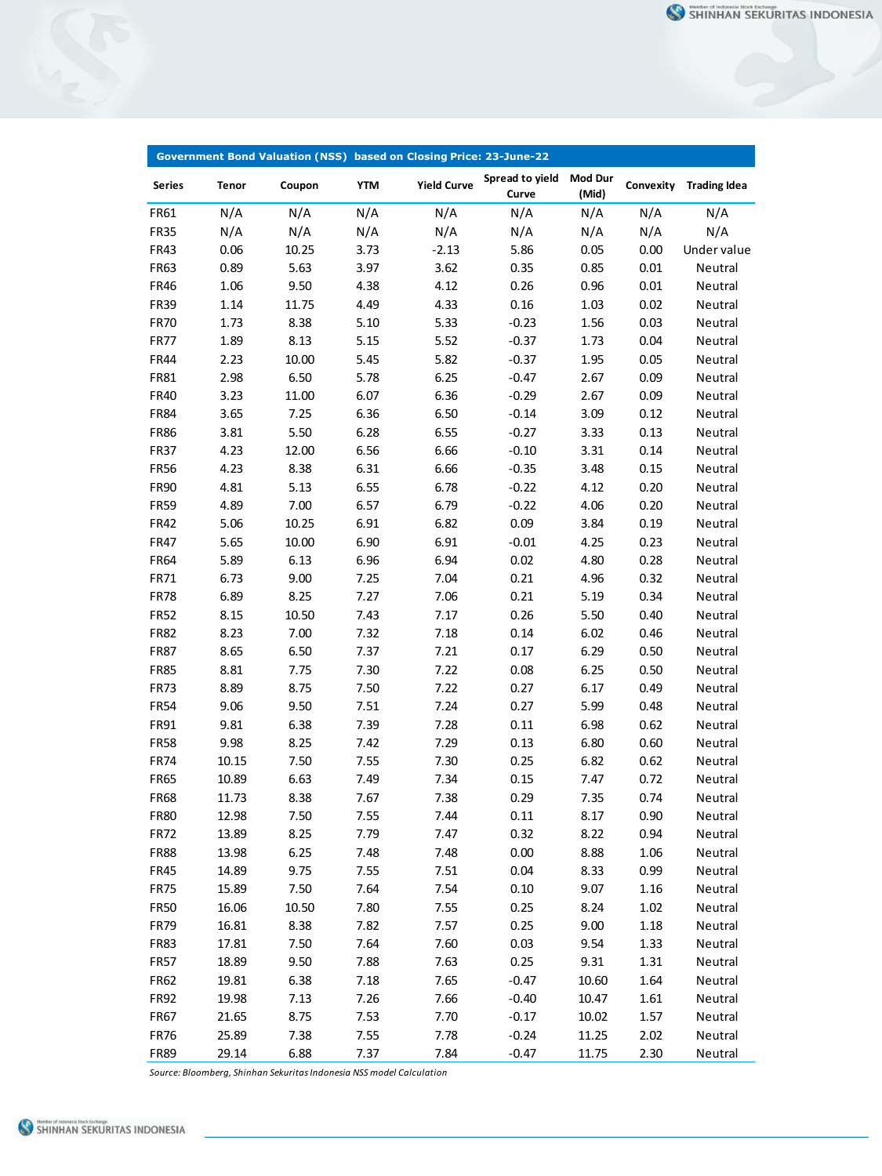|                     |                | Government Bond Valuation (NSS) based on Closing Price: 23-June-22 |              |                    |                          |                         |              |                     |
|---------------------|----------------|--------------------------------------------------------------------|--------------|--------------------|--------------------------|-------------------------|--------------|---------------------|
| <b>Series</b>       | Tenor          | Coupon                                                             | <b>YTM</b>   | <b>Yield Curve</b> | Spread to yield<br>Curve | <b>Mod Dur</b><br>(Mid) | Convexity    | <b>Trading Idea</b> |
| FR61                | N/A            | N/A                                                                | N/A          | N/A                | N/A                      | N/A                     | N/A          | N/A                 |
| <b>FR35</b>         | N/A            | N/A                                                                | N/A          | N/A                | N/A                      | N/A                     | N/A          | N/A                 |
| FR43                | 0.06           | 10.25                                                              | 3.73         | $-2.13$            | 5.86                     | 0.05                    | 0.00         | Under value         |
| FR63                | 0.89           | 5.63                                                               | 3.97         | 3.62               | 0.35                     | 0.85                    | 0.01         | Neutral             |
| <b>FR46</b>         | 1.06           | 9.50                                                               | 4.38         | 4.12               | 0.26                     | 0.96                    | 0.01         | Neutral             |
| <b>FR39</b>         | 1.14           | 11.75                                                              | 4.49         | 4.33               | 0.16                     | 1.03                    | 0.02         | Neutral             |
| <b>FR70</b>         | 1.73           | 8.38                                                               | 5.10         | 5.33               | $-0.23$                  | 1.56                    | 0.03         | Neutral             |
| <b>FR77</b>         | 1.89           | 8.13                                                               | 5.15         | 5.52               | $-0.37$                  | 1.73                    | 0.04         | Neutral             |
| FR44                | 2.23           | 10.00                                                              | 5.45         | 5.82               | $-0.37$                  | 1.95                    | 0.05         | Neutral             |
| FR81                | 2.98           | 6.50                                                               | 5.78         | 6.25               | $-0.47$                  | 2.67                    | 0.09         | Neutral             |
| <b>FR40</b>         | 3.23           | 11.00                                                              | 6.07         | 6.36               | $-0.29$                  | 2.67                    | 0.09         | Neutral             |
| <b>FR84</b>         | 3.65           | 7.25                                                               | 6.36         | 6.50               | $-0.14$                  | 3.09                    | 0.12         | Neutral             |
| <b>FR86</b>         | 3.81           | 5.50                                                               | 6.28         | 6.55               | $-0.27$                  | 3.33                    | 0.13         | Neutral             |
| <b>FR37</b>         | 4.23           | 12.00                                                              | 6.56         | 6.66               | $-0.10$                  | 3.31                    | 0.14         | Neutral             |
| <b>FR56</b>         | 4.23           | 8.38                                                               | 6.31         | 6.66               | $-0.35$                  | 3.48                    | 0.15         | Neutral             |
| <b>FR90</b>         | 4.81           | 5.13                                                               | 6.55         | 6.78               | $-0.22$                  | 4.12                    | 0.20         | Neutral             |
| <b>FR59</b>         | 4.89           | 7.00                                                               | 6.57         | 6.79               | $-0.22$                  | 4.06                    | 0.20         | Neutral             |
| FR42                | 5.06           | 10.25                                                              | 6.91         | 6.82               | 0.09                     | 3.84                    | 0.19         | Neutral             |
| <b>FR47</b>         | 5.65           | 10.00                                                              | 6.90         | 6.91               | $-0.01$                  | 4.25                    | 0.23         | Neutral             |
| FR64                | 5.89           | 6.13                                                               | 6.96         | 6.94               | 0.02                     | 4.80                    | 0.28         | Neutral             |
| FR71                | 6.73           | 9.00                                                               | 7.25         | 7.04               | 0.21                     | 4.96                    | 0.32         | Neutral             |
| <b>FR78</b>         | 6.89           | 8.25                                                               | 7.27         | 7.06               | 0.21                     | 5.19                    | 0.34         | Neutral             |
| <b>FR52</b>         | 8.15           | 10.50                                                              | 7.43         | 7.17               | 0.26                     | 5.50                    | 0.40         | Neutral             |
| <b>FR82</b>         | 8.23           | 7.00                                                               | 7.32         | 7.18               | 0.14                     | 6.02                    | 0.46         | Neutral             |
| <b>FR87</b>         | 8.65           | 6.50                                                               | 7.37         | 7.21               | 0.17                     | 6.29                    | 0.50         | Neutral             |
| <b>FR85</b>         | 8.81           | 7.75                                                               | 7.30         | 7.22               | 0.08                     | 6.25                    | 0.50         | Neutral             |
| <b>FR73</b>         | 8.89           | 8.75                                                               | 7.50         | 7.22               | 0.27                     | 6.17                    | 0.49         | Neutral             |
| <b>FR54</b>         | 9.06           | 9.50                                                               | 7.51         | 7.24               | 0.27                     | 5.99                    | 0.48         | Neutral             |
| FR91                | 9.81           | 6.38                                                               | 7.39         | 7.28               | 0.11                     | 6.98                    | 0.62         | Neutral             |
| <b>FR58</b>         | 9.98           | 8.25                                                               | 7.42         | 7.29               | 0.13                     | 6.80                    | 0.60         | Neutral             |
| <b>FR74</b>         | 10.15          | 7.50                                                               | 7.55         | 7.30               | 0.25                     | 6.82                    | 0.62         | Neutral             |
| <b>FR65</b>         | 10.89          | 6.63                                                               | 7.49         | 7.34               | 0.15                     | 7.47                    | 0.72         | Neutral             |
| <b>FR68</b>         | 11.73          | 8.38                                                               | 7.67         | 7.38               | 0.29                     | 7.35                    | 0.74         | Neutral             |
| <b>FR80</b>         | 12.98          | 7.50                                                               | 7.55         | 7.44               | 0.11                     | 8.17                    | 0.90         | Neutral             |
| <b>FR72</b>         | 13.89          | 8.25                                                               | 7.79         | 7.47               | 0.32                     | 8.22                    | 0.94         | Neutral             |
| <b>FR88</b>         | 13.98          | 6.25                                                               | 7.48         | 7.48               | 0.00                     | 8.88                    | 1.06         | Neutral             |
| <b>FR45</b>         | 14.89          | 9.75                                                               | 7.55         | 7.51               | 0.04                     | 8.33                    | 0.99         | Neutral             |
| FR75                | 15.89          | 7.50                                                               | 7.64         | 7.54               | 0.10                     | 9.07                    | 1.16         | Neutral             |
| <b>FR50</b>         | 16.06          | 10.50                                                              | 7.80         | 7.55               | 0.25                     | 8.24                    | 1.02         | Neutral             |
| <b>FR79</b>         | 16.81          | 8.38                                                               | 7.82         | 7.57               | 0.25                     | 9.00                    | 1.18         | Neutral             |
| <b>FR83</b>         | 17.81          | 7.50                                                               | 7.64         | 7.60               | 0.03                     | 9.54                    | 1.33         | Neutral             |
|                     |                |                                                                    |              |                    |                          |                         |              |                     |
| <b>FR57</b>         | 18.89          | 9.50                                                               | 7.88         | 7.63               | 0.25                     | 9.31                    | 1.31         | Neutral             |
| <b>FR62</b>         | 19.81          | 6.38                                                               | 7.18         | 7.65               | $-0.47$                  | 10.60                   | 1.64         | Neutral             |
| <b>FR92</b>         | 19.98          | 7.13                                                               | 7.26         | 7.66               | $-0.40$                  | 10.47                   | 1.61         | Neutral             |
| <b>FR67</b>         | 21.65          | 8.75                                                               | 7.53         | 7.70               | $-0.17$                  | 10.02                   | 1.57         | Neutral             |
| <b>FR76</b><br>FR89 | 25.89<br>29.14 | 7.38<br>6.88                                                       | 7.55<br>7.37 | 7.78<br>7.84       | $-0.24$<br>$-0.47$       | 11.25<br>11.75          | 2.02<br>2.30 | Neutral<br>Neutral  |
|                     |                |                                                                    |              |                    |                          |                         |              |                     |

*Source: Bloomberg, Shinhan Sekuritas Indonesia NSS model Calculation*